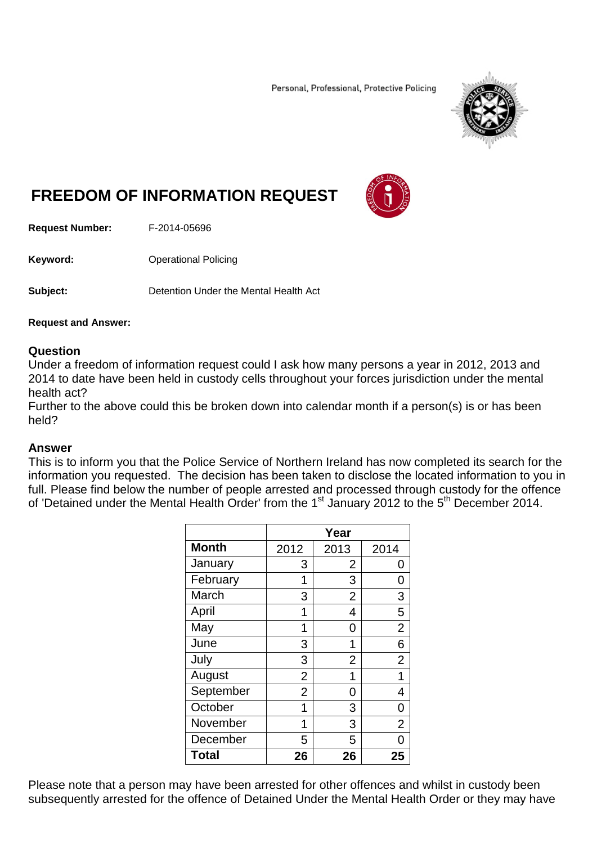Personal, Professional, Protective Policing



## **FREEDOM OF INFORMATION REQUEST**



**Request Number:** F-2014-05696

**Keyword:** Operational Policing

**Subject:** Detention Under the Mental Health Act

## **Request and Answer:**

## **Question**

Under a freedom of information request could I ask how many persons a year in 2012, 2013 and 2014 to date have been held in custody cells throughout your forces jurisdiction under the mental health act?

Further to the above could this be broken down into calendar month if a person(s) is or has been held?

## **Answer**

This is to inform you that the Police Service of Northern Ireland has now completed its search for the information you requested. The decision has been taken to disclose the located information to you in full. Please find below the number of people arrested and processed through custody for the offence of 'Detained under the Mental Health Order' from the 1<sup>st</sup> January 2012 to the 5<sup>th</sup> December 2014.

|              | Year           |                |                |
|--------------|----------------|----------------|----------------|
| <b>Month</b> | 2012           | 2013           | 2014           |
| January      | 3              | $\overline{2}$ | O              |
| February     | 1              | 3              | 0              |
| March        | 3              | $\overline{2}$ | 3              |
| April        | 1              | 4              | 5              |
| May          | 1              | 0              | $\overline{2}$ |
| June         | 3              | 1              | 6              |
| July         | 3              | $\overline{2}$ | $\overline{2}$ |
| August       | $\overline{2}$ | 1              | 1              |
| September    | $\overline{2}$ | 0              | 4              |
| October      | 1              | 3              | 0              |
| November     | 1              | 3              | $\overline{2}$ |
| December     | 5              | 5              |                |
| <b>Total</b> | 26             | 26             | 25             |

Please note that a person may have been arrested for other offences and whilst in custody been subsequently arrested for the offence of Detained Under the Mental Health Order or they may have